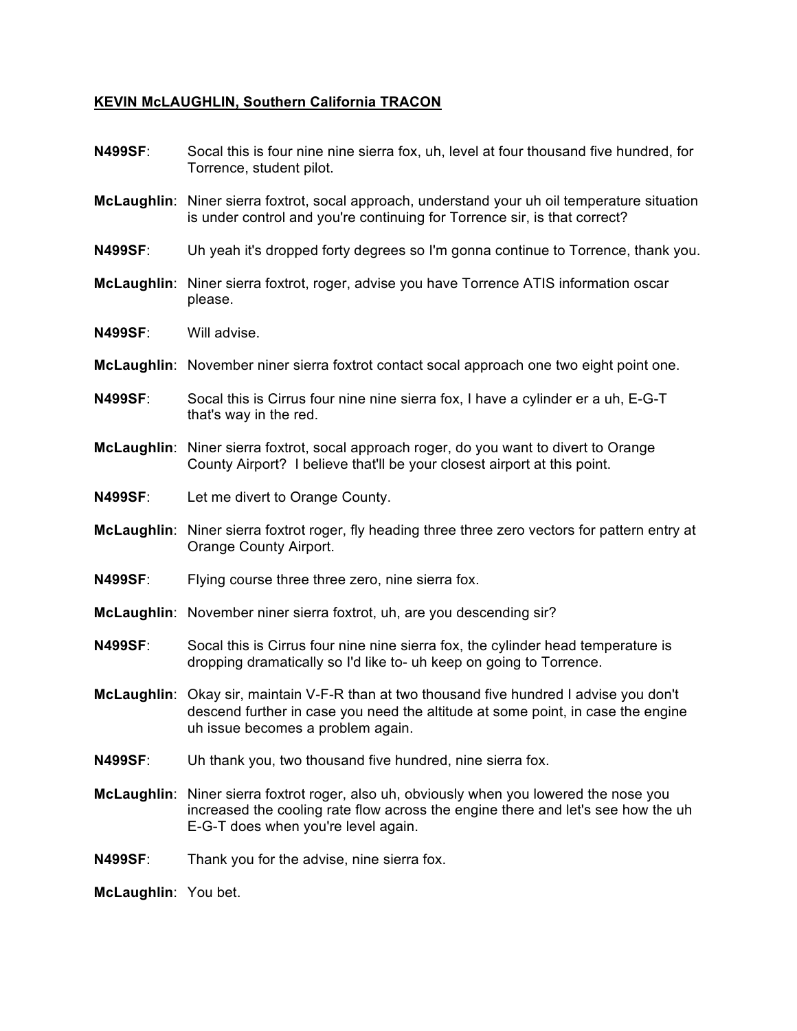## **KEVIN McLAUGHLIN, Southern California TRACON**

| Socal this is four nine nine sierra fox, uh, level at four thousand five hundred, for<br>Torrence, student pilot.                                                                                                      |
|------------------------------------------------------------------------------------------------------------------------------------------------------------------------------------------------------------------------|
| McLaughlin: Niner sierra foxtrot, socal approach, understand your uh oil temperature situation<br>is under control and you're continuing for Torrence sir, is that correct?                                            |
| Uh yeah it's dropped forty degrees so I'm gonna continue to Torrence, thank you.                                                                                                                                       |
| McLaughlin: Niner sierra foxtrot, roger, advise you have Torrence ATIS information oscar<br>please.                                                                                                                    |
| Will advise.                                                                                                                                                                                                           |
| McLaughlin: November niner sierra foxtrot contact socal approach one two eight point one.                                                                                                                              |
| Socal this is Cirrus four nine nine sierra fox, I have a cylinder er a uh, E-G-T<br>that's way in the red.                                                                                                             |
| McLaughlin: Niner sierra foxtrot, socal approach roger, do you want to divert to Orange<br>County Airport? I believe that'll be your closest airport at this point.                                                    |
| Let me divert to Orange County.                                                                                                                                                                                        |
| McLaughlin: Niner sierra foxtrot roger, fly heading three three zero vectors for pattern entry at<br>Orange County Airport.                                                                                            |
| Flying course three three zero, nine sierra fox.                                                                                                                                                                       |
| McLaughlin: November niner sierra foxtrot, uh, are you descending sir?                                                                                                                                                 |
| Socal this is Cirrus four nine nine sierra fox, the cylinder head temperature is<br>dropping dramatically so I'd like to- uh keep on going to Torrence.                                                                |
| McLaughlin: Okay sir, maintain V-F-R than at two thousand five hundred I advise you don't<br>descend further in case you need the altitude at some point, in case the engine<br>uh issue becomes a problem again.      |
| Uh thank you, two thousand five hundred, nine sierra fox.                                                                                                                                                              |
| McLaughlin:<br>Niner sierra foxtrot roger, also uh, obviously when you lowered the nose you<br>increased the cooling rate flow across the engine there and let's see how the uh<br>E-G-T does when you're level again. |
| Thank you for the advise, nine sierra fox.                                                                                                                                                                             |
| McLaughlin: You bet.                                                                                                                                                                                                   |
|                                                                                                                                                                                                                        |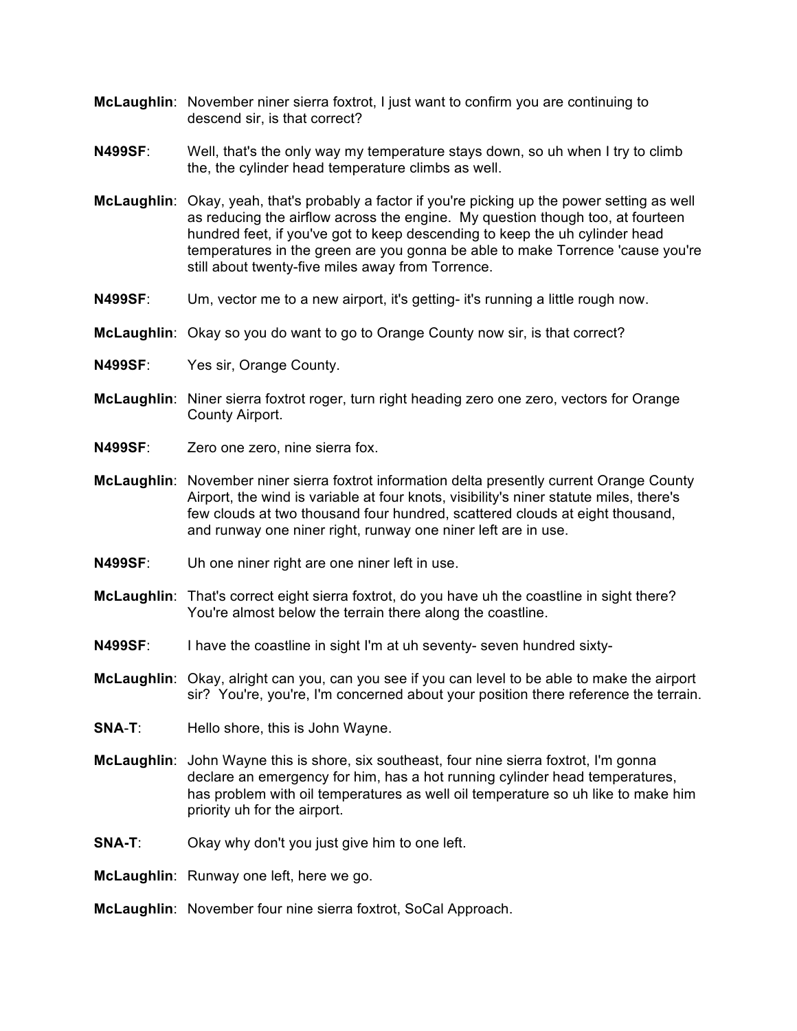- **McLaughlin**: November niner sierra foxtrot, I just want to confirm you are continuing to descend sir, is that correct?
- **N499SF**: Well, that's the only way my temperature stays down, so uh when I try to climb the, the cylinder head temperature climbs as well.
- **McLaughlin**: Okay, yeah, that's probably a factor if you're picking up the power setting as well as reducing the airflow across the engine. My question though too, at fourteen hundred feet, if you've got to keep descending to keep the uh cylinder head temperatures in the green are you gonna be able to make Torrence 'cause you're still about twenty-five miles away from Torrence.
- **N499SF**: Um, vector me to a new airport, it's getting- it's running a little rough now.
- **McLaughlin**: Okay so you do want to go to Orange County now sir, is that correct?
- **N499SF**: Yes sir, Orange County.
- **McLaughlin**: Niner sierra foxtrot roger, turn right heading zero one zero, vectors for Orange County Airport.
- **N499SF**: Zero one zero, nine sierra fox.
- **McLaughlin**: November niner sierra foxtrot information delta presently current Orange County Airport, the wind is variable at four knots, visibility's niner statute miles, there's few clouds at two thousand four hundred, scattered clouds at eight thousand, and runway one niner right, runway one niner left are in use.
- **N499SF**: Uh one niner right are one niner left in use.
- **McLaughlin**: That's correct eight sierra foxtrot, do you have uh the coastline in sight there? You're almost below the terrain there along the coastline.
- **N499SF**: I have the coastline in sight I'm at uh seventy- seven hundred sixty-
- **McLaughlin**: Okay, alright can you, can you see if you can level to be able to make the airport sir? You're, you're, I'm concerned about your position there reference the terrain.
- **SNA**-**T**: Hello shore, this is John Wayne.
- **McLaughlin**: John Wayne this is shore, six southeast, four nine sierra foxtrot, I'm gonna declare an emergency for him, has a hot running cylinder head temperatures, has problem with oil temperatures as well oil temperature so uh like to make him priority uh for the airport.
- **SNA-T**: Okay why don't you just give him to one left.
- **McLaughlin**: Runway one left, here we go.
- **McLaughlin**: November four nine sierra foxtrot, SoCal Approach.